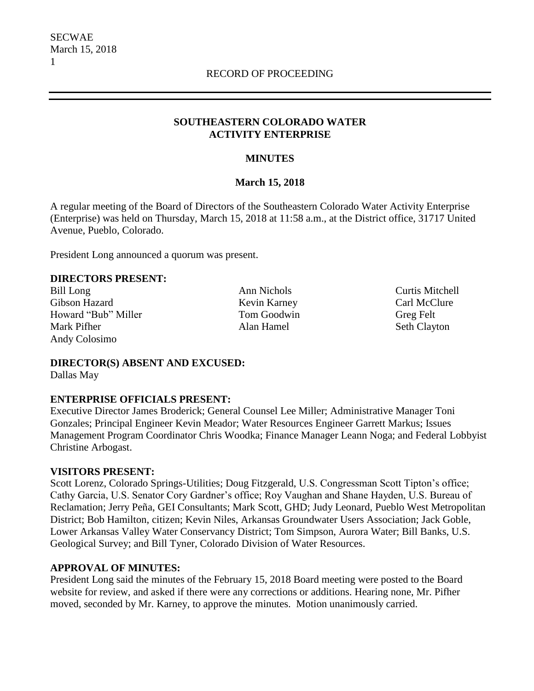# **SOUTHEASTERN COLORADO WATER ACTIVITY ENTERPRISE**

# **MINUTES**

### **March 15, 2018**

A regular meeting of the Board of Directors of the Southeastern Colorado Water Activity Enterprise (Enterprise) was held on Thursday, March 15, 2018 at 11:58 a.m., at the District office, 31717 United Avenue, Pueblo, Colorado.

President Long announced a quorum was present.

#### **DIRECTORS PRESENT:**

Bill Long **Ann Nichols** Ann Nichols **Curtis Mitchell** Gibson Hazard **Kevin Karney** Carl McClure Howard "Bub" Miller Tom Goodwin Greg Felt Mark Pifher **Alan Hamel** Seth Clayton Andy Colosimo

**DIRECTOR(S) ABSENT AND EXCUSED:** Dallas May

#### **ENTERPRISE OFFICIALS PRESENT:**

Executive Director James Broderick; General Counsel Lee Miller; Administrative Manager Toni Gonzales; Principal Engineer Kevin Meador; Water Resources Engineer Garrett Markus; Issues Management Program Coordinator Chris Woodka; Finance Manager Leann Noga; and Federal Lobbyist Christine Arbogast.

#### **VISITORS PRESENT:**

Scott Lorenz, Colorado Springs-Utilities; Doug Fitzgerald, U.S. Congressman Scott Tipton's office; Cathy Garcia, U.S. Senator Cory Gardner's office; Roy Vaughan and Shane Hayden, U.S. Bureau of Reclamation; Jerry Peña, GEI Consultants; Mark Scott, GHD; Judy Leonard, Pueblo West Metropolitan District; Bob Hamilton, citizen; Kevin Niles, Arkansas Groundwater Users Association; Jack Goble, Lower Arkansas Valley Water Conservancy District; Tom Simpson, Aurora Water; Bill Banks, U.S. Geological Survey; and Bill Tyner, Colorado Division of Water Resources.

#### **APPROVAL OF MINUTES:**

President Long said the minutes of the February 15, 2018 Board meeting were posted to the Board website for review, and asked if there were any corrections or additions. Hearing none, Mr. Pifher moved, seconded by Mr. Karney, to approve the minutes. Motion unanimously carried.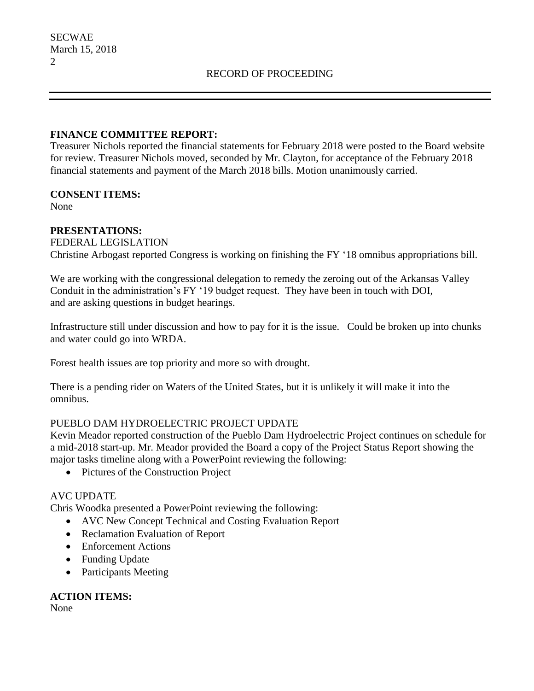# **FINANCE COMMITTEE REPORT:**

Treasurer Nichols reported the financial statements for February 2018 were posted to the Board website for review. Treasurer Nichols moved, seconded by Mr. Clayton, for acceptance of the February 2018 financial statements and payment of the March 2018 bills. Motion unanimously carried.

### **CONSENT ITEMS:**

None

### **PRESENTATIONS:**

FEDERAL LEGISLATION

Christine Arbogast reported Congress is working on finishing the FY '18 omnibus appropriations bill.

We are working with the congressional delegation to remedy the zeroing out of the Arkansas Valley Conduit in the administration's FY '19 budget request. They have been in touch with DOI, and are asking questions in budget hearings.

Infrastructure still under discussion and how to pay for it is the issue. Could be broken up into chunks and water could go into WRDA.

Forest health issues are top priority and more so with drought.

There is a pending rider on Waters of the United States, but it is unlikely it will make it into the omnibus.

# PUEBLO DAM HYDROELECTRIC PROJECT UPDATE

Kevin Meador reported construction of the Pueblo Dam Hydroelectric Project continues on schedule for a mid-2018 start-up. Mr. Meador provided the Board a copy of the Project Status Report showing the major tasks timeline along with a PowerPoint reviewing the following:

• Pictures of the Construction Project

# AVC UPDATE

Chris Woodka presented a PowerPoint reviewing the following:

- AVC New Concept Technical and Costing Evaluation Report
- Reclamation Evaluation of Report
- Enforcement Actions
- Funding Update
- Participants Meeting

**ACTION ITEMS:**

None